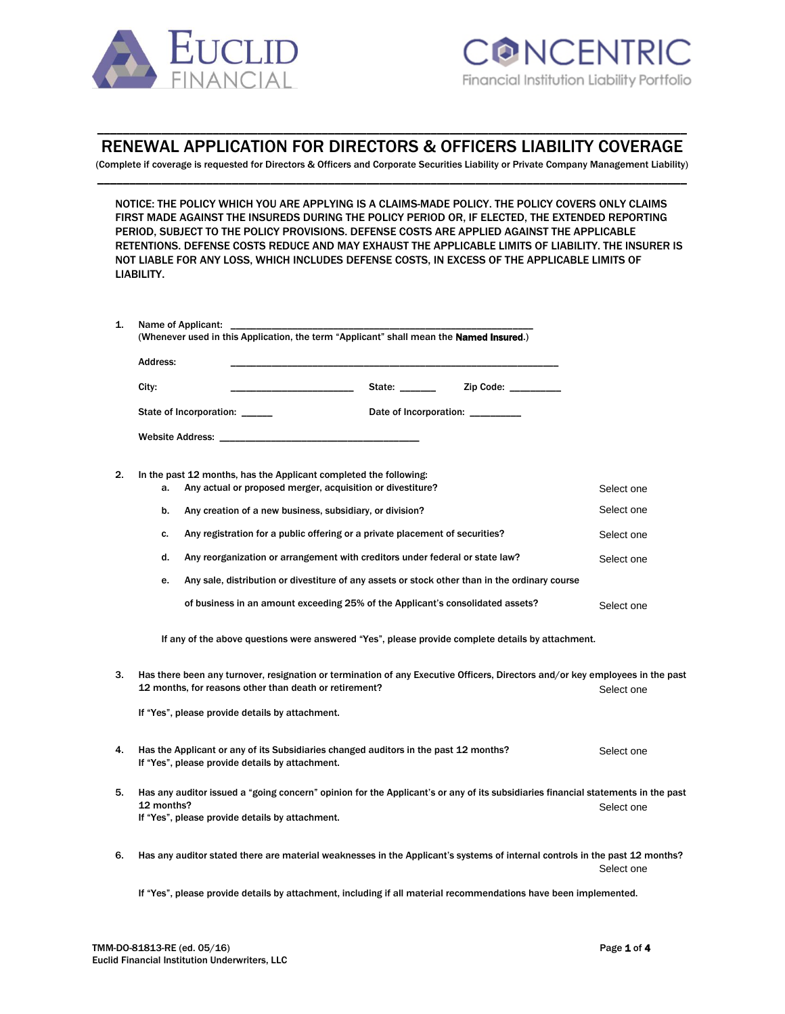

# \_\_\_\_\_\_\_\_\_\_\_\_\_\_\_\_\_\_\_\_\_\_\_\_\_\_\_\_\_\_\_\_\_\_\_\_\_\_\_\_\_\_\_\_\_\_\_\_\_\_\_\_\_\_\_\_\_\_\_\_\_\_\_\_\_\_\_\_\_\_\_\_\_\_\_\_\_\_\_\_\_\_\_\_\_\_\_\_\_\_\_\_ RENEWAL APPLICATION FOR DIRECTORS & OFFICERS LIABILITY COVERAGE

(Complete if coverage is requested for Directors & Officers and Corporate Securities Liability or Private Company Management Liability) \_\_\_\_\_\_\_\_\_\_\_\_\_\_\_\_\_\_\_\_\_\_\_\_\_\_\_\_\_\_\_\_\_\_\_\_\_\_\_\_\_\_\_\_\_\_\_\_\_\_\_\_\_\_\_\_\_\_\_\_\_\_\_\_\_\_\_\_\_\_\_\_\_\_\_\_\_\_\_\_\_\_\_\_\_\_\_\_\_\_\_\_

NOTICE: THE POLICY WHICH YOU ARE APPLYING IS A CLAIMS-MADE POLICY. THE POLICY COVERS ONLY CLAIMS FIRST MADE AGAINST THE INSUREDS DURING THE POLICY PERIOD OR, IF ELECTED, THE EXTENDED REPORTING PERIOD, SUBJECT TO THE POLICY PROVISIONS. DEFENSE COSTS ARE APPLIED AGAINST THE APPLICABLE RETENTIONS. DEFENSE COSTS REDUCE AND MAY EXHAUST THE APPLICABLE LIMITS OF LIABILITY. THE INSURER IS NOT LIABLE FOR ANY LOSS, WHICH INCLUDES DEFENSE COSTS, IN EXCESS OF THE APPLICABLE LIMITS OF LIABILITY.

| (Whenever used in this Application, the term "Applicant" shall mean the <b>Named Insured.</b> ) |                          |  |
|-------------------------------------------------------------------------------------------------|--------------------------|--|
| Address:                                                                                        |                          |  |
| City:                                                                                           | State: www.<br>Zip Code: |  |
| State of Incorporation:                                                                         | Date of Incorporation:   |  |
|                                                                                                 |                          |  |

## 2. In the past 12 months, has the Applicant completed the following:

|    | a.                                                                                                               | Any actual or proposed merger, acquisition or divestiture?                                                                                                                              | Select one |  |  |
|----|------------------------------------------------------------------------------------------------------------------|-----------------------------------------------------------------------------------------------------------------------------------------------------------------------------------------|------------|--|--|
|    | b.                                                                                                               | Any creation of a new business, subsidiary, or division?                                                                                                                                | Select one |  |  |
|    | c.                                                                                                               | Any registration for a public offering or a private placement of securities?                                                                                                            | Select one |  |  |
|    | d.                                                                                                               | Any reorganization or arrangement with creditors under federal or state law?                                                                                                            | Select one |  |  |
|    | е.                                                                                                               | Any sale, distribution or divestiture of any assets or stock other than in the ordinary course                                                                                          |            |  |  |
|    |                                                                                                                  | of business in an amount exceeding 25% of the Applicant's consolidated assets?                                                                                                          | Select one |  |  |
|    | If any of the above questions were answered "Yes", please provide complete details by attachment.                |                                                                                                                                                                                         |            |  |  |
| 3. |                                                                                                                  | Has there been any turnover, resignation or termination of any Executive Officers, Directors and/or key employees in the past<br>12 months, for reasons other than death or retirement? | Select one |  |  |
|    |                                                                                                                  | If "Yes", please provide details by attachment.                                                                                                                                         |            |  |  |
| 4. |                                                                                                                  | Has the Applicant or any of its Subsidiaries changed auditors in the past 12 months?<br>If "Yes", please provide details by attachment.                                                 | Select one |  |  |
| 5. | 12 months?                                                                                                       | Has any auditor issued a "going concern" opinion for the Applicant's or any of its subsidiaries financial statements in the past<br>If "Yes", please provide details by attachment.     | Select one |  |  |
| 6. |                                                                                                                  | Has any auditor stated there are material weaknesses in the Applicant's systems of internal controls in the past 12 months?                                                             | Select one |  |  |
|    | If "Yes", please provide details by attachment, including if all material recommendations have been implemented. |                                                                                                                                                                                         |            |  |  |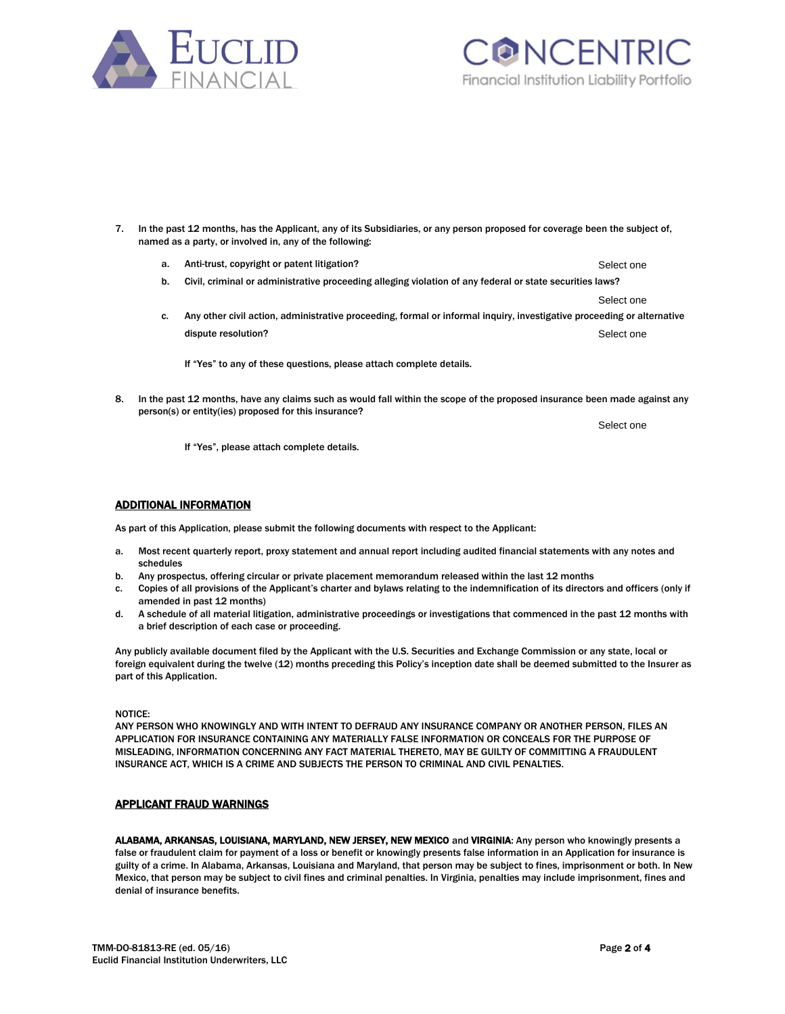



- 7. In the past 12 months, has the Applicant, any of its Subsidiaries, or any person proposed for coverage been the subject of, named as a party, or involved in, any of the following:
	- a. Anti-trust, copyright or patent litigation? Select one
	- b. Civil, criminal or administrative proceeding alleging violation of any federal or state securities laws?
	- c. Any other civil action, administrative proceeding, formal or informal inquiry, investigative proceeding or alternative dispute resolution? Select one
		- If "Yes" to any of these questions, please attach complete details.
- 8. In the past 12 months, have any claims such as would fall within the scope of the proposed insurance been made against any person(s) or entity(ies) proposed for this insurance?

If "Yes", please attach complete details.

#### ADDITIONAL INFORMATION

As part of this Application, please submit the following documents with respect to the Applicant:

- a. Most recent quarterly report, proxy statement and annual report including audited financial statements with any notes and schedules
- b. Any prospectus, offering circular or private placement memorandum released within the last 12 months
- c. Copies of all provisions of the Applicant's charter and bylaws relating to the indemnification of its directors and officers (only if amended in past 12 months)
- d. A schedule of all material litigation, administrative proceedings or investigations that commenced in the past 12 months with a brief description of each case or proceeding.

Any publicly available document filed by the Applicant with the U.S. Securities and Exchange Commission or any state, local or foreign equivalent during the twelve (12) months preceding this Policy's inception date shall be deemed submitted to the Insurer as part of this Application.

NOTICE:

ANY PERSON WHO KNOWINGLY AND WITH INTENT TO DEFRAUD ANY INSURANCE COMPANY OR ANOTHER PERSON, FILES AN APPLICATION FOR INSURANCE CONTAINING ANY MATERIALLY FALSE INFORMATION OR CONCEALS FOR THE PURPOSE OF MISLEADING, INFORMATION CONCERNING ANY FACT MATERIAL THERETO, MAY BE GUILTY OF COMMITTING A FRAUDULENT INSURANCE ACT, WHICH IS A CRIME AND SUBJECTS THE PERSON TO CRIMINAL AND CIVIL PENALTIES.

### APPLICANT FRAUD WARNINGS

ALABAMA, ARKANSAS, LOUISIANA, MARYLAND, NEW JERSEY, NEW MEXICO and VIRGINIA: Any person who knowingly presents a false or fraudulent claim for payment of a loss or benefit or knowingly presents false information in an Application for insurance is guilty of a crime. In Alabama, Arkansas, Louisiana and Maryland, that person may be subject to fines, imprisonment or both. In New Mexico, that person may be subject to civil fines and criminal penalties. In Virginia, penalties may include imprisonment, fines and denial of insurance benefits.

Select one

Select one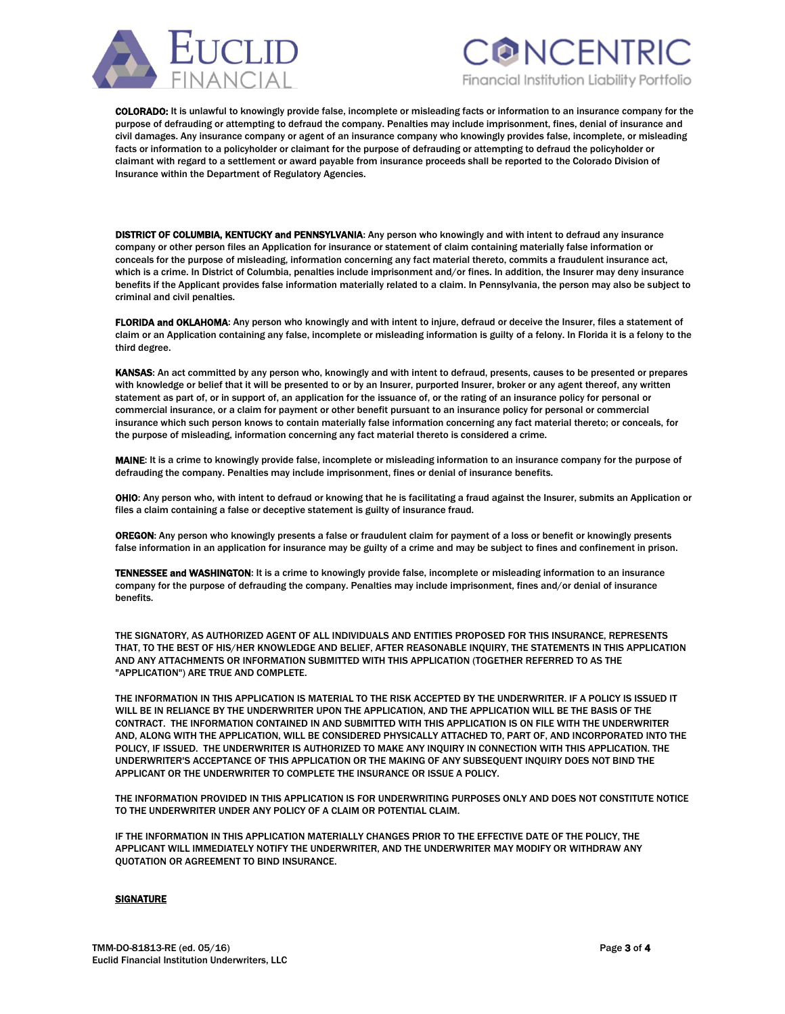



COLORADO: It is unlawful to knowingly provide false, incomplete or misleading facts or information to an insurance company for the purpose of defrauding or attempting to defraud the company. Penalties may include imprisonment, fines, denial of insurance and civil damages. Any insurance company or agent of an insurance company who knowingly provides false, incomplete, or misleading facts or information to a policyholder or claimant for the purpose of defrauding or attempting to defraud the policyholder or claimant with regard to a settlement or award payable from insurance proceeds shall be reported to the Colorado Division of Insurance within the Department of Regulatory Agencies.

DISTRICT OF COLUMBIA, KENTUCKY and PENNSYLVANIA: Any person who knowingly and with intent to defraud any insurance company or other person files an Application for insurance or statement of claim containing materially false information or conceals for the purpose of misleading, information concerning any fact material thereto, commits a fraudulent insurance act, which is a crime. In District of Columbia, penalties include imprisonment and/or fines. In addition, the Insurer may deny insurance benefits if the Applicant provides false information materially related to a claim. In Pennsylvania, the person may also be subject to criminal and civil penalties.

FLORIDA and OKLAHOMA: Any person who knowingly and with intent to injure, defraud or deceive the Insurer, files a statement of claim or an Application containing any false, incomplete or misleading information is guilty of a felony. In Florida it is a felony to the third degree.

KANSAS: An act committed by any person who, knowingly and with intent to defraud, presents, causes to be presented or prepares with knowledge or belief that it will be presented to or by an Insurer, purported Insurer, broker or any agent thereof, any written statement as part of, or in support of, an application for the issuance of, or the rating of an insurance policy for personal or commercial insurance, or a claim for payment or other benefit pursuant to an insurance policy for personal or commercial insurance which such person knows to contain materially false information concerning any fact material thereto; or conceals, for the purpose of misleading, information concerning any fact material thereto is considered a crime.

MAINE: It is a crime to knowingly provide false, incomplete or misleading information to an insurance company for the purpose of defrauding the company. Penalties may include imprisonment, fines or denial of insurance benefits.

OHIO: Any person who, with intent to defraud or knowing that he is facilitating a fraud against the Insurer, submits an Application or files a claim containing a false or deceptive statement is guilty of insurance fraud.

OREGON: Any person who knowingly presents a false or fraudulent claim for payment of a loss or benefit or knowingly presents false information in an application for insurance may be guilty of a crime and may be subject to fines and confinement in prison.

TENNESSEE and WASHINGTON: It is a crime to knowingly provide false, incomplete or misleading information to an insurance company for the purpose of defrauding the company. Penalties may include imprisonment, fines and/or denial of insurance benefits.

THE SIGNATORY, AS AUTHORIZED AGENT OF ALL INDIVIDUALS AND ENTITIES PROPOSED FOR THIS INSURANCE, REPRESENTS THAT, TO THE BEST OF HIS/HER KNOWLEDGE AND BELIEF, AFTER REASONABLE INQUIRY, THE STATEMENTS IN THIS APPLICATION AND ANY ATTACHMENTS OR INFORMATION SUBMITTED WITH THIS APPLICATION (TOGETHER REFERRED TO AS THE "APPLICATION") ARE TRUE AND COMPLETE.

THE INFORMATION IN THIS APPLICATION IS MATERIAL TO THE RISK ACCEPTED BY THE UNDERWRITER. IF A POLICY IS ISSUED IT WILL BE IN RELIANCE BY THE UNDERWRITER UPON THE APPLICATION, AND THE APPLICATION WILL BE THE BASIS OF THE CONTRACT. THE INFORMATION CONTAINED IN AND SUBMITTED WITH THIS APPLICATION IS ON FILE WITH THE UNDERWRITER AND, ALONG WITH THE APPLICATION, WILL BE CONSIDERED PHYSICALLY ATTACHED TO, PART OF, AND INCORPORATED INTO THE POLICY, IF ISSUED. THE UNDERWRITER IS AUTHORIZED TO MAKE ANY INQUIRY IN CONNECTION WITH THIS APPLICATION. THE UNDERWRITER'S ACCEPTANCE OF THIS APPLICATION OR THE MAKING OF ANY SUBSEQUENT INQUIRY DOES NOT BIND THE APPLICANT OR THE UNDERWRITER TO COMPLETE THE INSURANCE OR ISSUE A POLICY.

THE INFORMATION PROVIDED IN THIS APPLICATION IS FOR UNDERWRITING PURPOSES ONLY AND DOES NOT CONSTITUTE NOTICE TO THE UNDERWRITER UNDER ANY POLICY OF A CLAIM OR POTENTIAL CLAIM.

IF THE INFORMATION IN THIS APPLICATION MATERIALLY CHANGES PRIOR TO THE EFFECTIVE DATE OF THE POLICY, THE APPLICANT WILL IMMEDIATELY NOTIFY THE UNDERWRITER, AND THE UNDERWRITER MAY MODIFY OR WITHDRAW ANY QUOTATION OR AGREEMENT TO BIND INSURANCE.

#### **SIGNATURE**